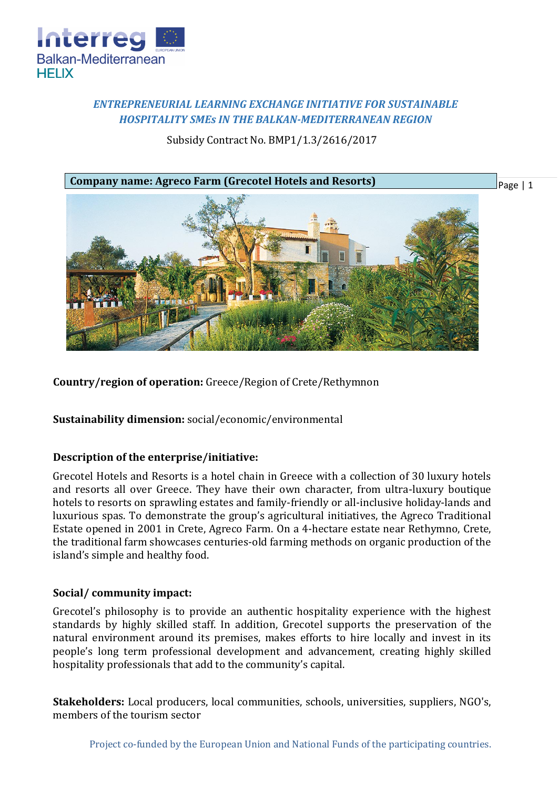

# *ENTREPRENEURIAL LEARNING EXCHANGE INITIATIVE FOR SUSTAINABLE HOSPITALITY SMEs IN THE BALKAN-MEDITERRANEAN REGION*

Subsidy Contract No. BMP1/1.3/2616/2017



**Country/region of operation:** Greece/Region of Crete/Rethymnon

**Sustainability dimension:** social/economic/environmental

## **Description of the enterprise/initiative:**

Grecotel Hotels and Resorts is a hotel chain in Greece with a collection of 30 luxury hotels and resorts all over Greece. They have their own character, from ultra-luxury boutique hotels to resorts on sprawling estates and family-friendly or all-inclusive holiday-lands and luxurious spas. To demonstrate the group's agricultural initiatives, the Agreco Traditional Estate opened in 2001 in Crete, Agreco Farm. On a 4-hectare estate near Rethymno, Crete, the traditional farm showcases centuries-old farming methods on organic production of the island's simple and healthy food.

## **Social/ community impact:**

Grecotel's philosophy is to provide an authentic hospitality experience with the highest standards by highly skilled staff. In addition, Grecotel supports the preservation of the natural environment around its premises, makes efforts to hire locally and invest in its people's long term professional development and advancement, creating highly skilled hospitality professionals that add to the community's capital.

**Stakeholders:** Local producers, local communities, schools, universities, suppliers, NGO's, members of the tourism sector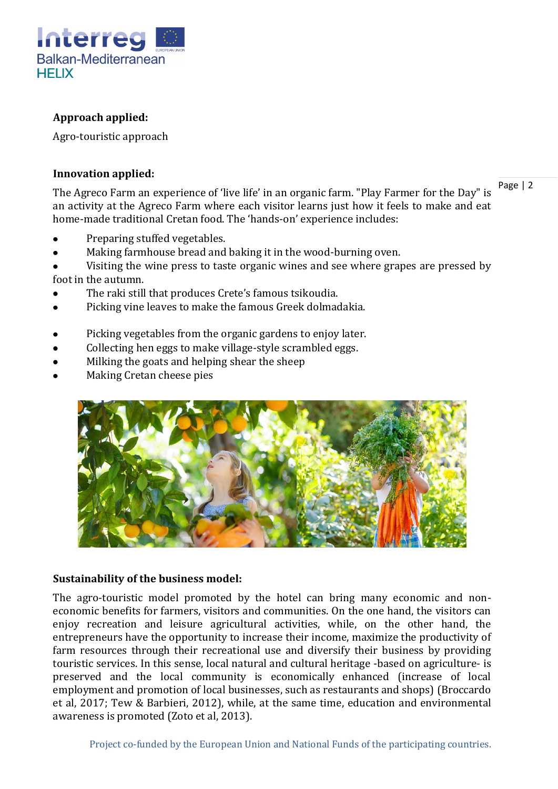

# **Approach applied:**

Agro-touristic approach

#### **Innovation applied:**

Page | 2

The Agreco Farm an experience of 'live life' in an organic farm. "Play Farmer for the Day" is an activity at the Agreco Farm where each visitor learns just how it feels to make and eat home-made traditional Cretan food. The 'hands-on' experience includes:

- Preparing stuffed vegetables.
- Making farmhouse bread and baking it in the wood-burning oven.
- Visiting the wine press to taste organic wines and see where grapes are pressed by foot in the autumn.
- The raki still that produces Crete's famous tsikoudia.
- Picking vine leaves to make the famous Greek dolmadakia.
- Picking vegetables from the organic gardens to enjoy later.
- Collecting hen eggs to make village-style scrambled eggs.
- Milking the goats and helping shear the sheep
- Making Cretan cheese pies



# **Sustainability of the business model:**

The agro-touristic model promoted by the hotel can bring many economic and noneconomic benefits for farmers, visitors and communities. On the one hand, the visitors can enjoy recreation and leisure agricultural activities, while, on the other hand, the entrepreneurs have the opportunity to increase their income, maximize the productivity of farm resources through their recreational use and diversify their business by providing touristic services. In this sense, local natural and cultural heritage -based on agriculture- is preserved and the local community is economically enhanced (increase of local employment and promotion of local businesses, such as restaurants and shops) (Broccardo et al, 2017; Tew & Barbieri, 2012), while, at the same time, education and environmental awareness is promoted (Zoto et al, 2013).